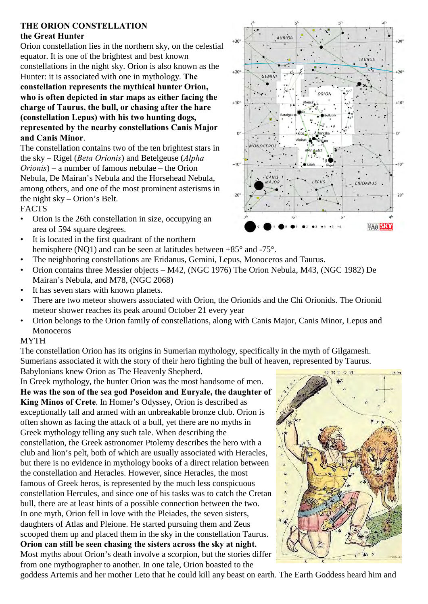## **THE ORION CONSTELLATION the Great Hunter**

Orion constellation lies in the northern sky, on the celestial equator. It is one of the brightest and best known constellations in the night sky. Orion is also known as the Hunter: it is associated with one in mythology. **The constellation represents the mythical hunter Orion, who is often depicted in star maps as either facing the charge of Taurus, the bull, or chasing after the hare (constellation Lepus) with his two hunting dogs, represented by the nearby constellations Canis Major and Canis Minor**.

The constellation contains two of the ten brightest stars in the sky – Rigel (*Beta Orionis*) and Betelgeuse (*Alpha Orionis*) – a number of famous nebulae – the Orion Nebula, De Mairan's Nebula and the Horsehead Nebula, among others, and one of the most prominent asterisms in the night sky – Orion's Belt.

## FACTS

- Orion is the 26th constellation in size, occupying an area of 594 square degrees.
- It is located in the first quadrant of the northern hemisphere (NO1) and can be seen at latitudes between +85° and -75°.
- The neighboring constellations are Eridanus, Gemini, Lepus, Monoceros and Taurus.
- Orion contains three Messier objects M42, (NGC 1976) The Orion Nebula, M43, (NGC 1982) De Mairan's Nebula, and M78, (NGC 2068)
- It has seven stars with known planets.
- There are two meteor showers associated with Orion, the Orionids and the Chi Orionids. The Orionid meteor shower reaches its peak around October 21 every year
- Orion belongs to the Orion family of constellations, along with Canis Major, Canis Minor, Lepus and Monoceros

## MYTH

The constellation Orion has its origins in Sumerian mythology, specifically in the myth of Gilgamesh. Sumerians associated it with the story of their hero fighting the bull of heaven, represented by Taurus. Babylonians knew Orion as The Heavenly Shepherd.

In Greek mythology, the hunter Orion was the most handsome of men. **He was the son of the sea god Poseidon and Euryale, the daughter of King Minos of Crete**. In Homer's Odyssey, Orion is described as exceptionally tall and armed with an unbreakable bronze club. Orion is often shown as facing the attack of a bull, yet there are no myths in Greek mythology telling any such tale. When describing the constellation, the Greek astronomer Ptolemy describes the hero with a club and lion's pelt, both of which are usually associated with Heracles, but there is no evidence in mythology books of a direct relation between the constellation and Heracles. However, since Heracles, the most famous of Greek heros, is represented by the much less conspicuous constellation Hercules, and since one of his tasks was to catch the Cretan bull, there are at least hints of a possible connection between the two. In one myth, Orion fell in love with the Pleiades, the seven sisters, daughters of Atlas and Pleione. He started pursuing them and Zeus scooped them up and placed them in the sky in the constellation Taurus. **Orion can still be seen chasing the sisters across the sky at night.** Most myths about Orion's death involve a scorpion, but the stories differ from one mythographer to another. In one tale, Orion boasted to the





goddess Artemis and her mother Leto that he could kill any beast on earth. The Earth Goddess heard him and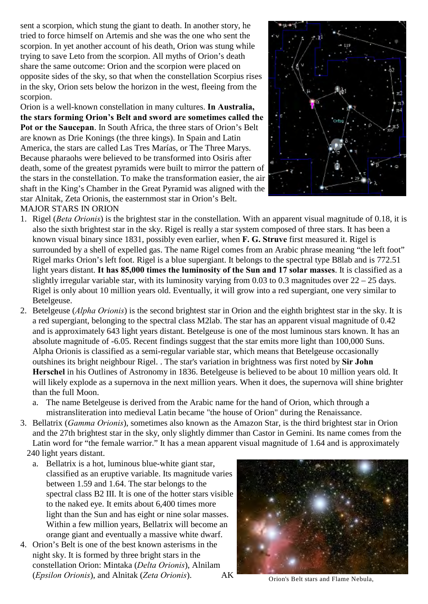sent a scorpion, which stung the giant to death. In another story, he tried to force himself on Artemis and she was the one who sent the scorpion. In yet another account of his death, Orion was stung while trying to save Leto from the scorpion. All myths of Orion's death share the same outcome: Orion and the scorpion were placed on opposite sides of the sky, so that when the constellation Scorpius rises in the sky, Orion sets below the horizon in the west, fleeing from the scorpion.

Orion is a well-known constellation in many cultures. **In Australia, the stars forming Orion's Belt and sword are sometimes called the Pot or the Saucepan**. In South Africa, the three stars of Orion's Belt are known as Drie Konings (the three kings). In Spain and Latin America, the stars are called Las Tres Marías, or The Three Marys. Because pharaohs were believed to be transformed into Osiris after death, some of the greatest pyramids were built to mirror the pattern of the stars in the constellation. To make the transformation easier, the air shaft in the King's Chamber in the Great Pyramid was aligned with the star Alnitak, Zeta Orionis, the easternmost star in Orion's Belt. MAJOR STARS IN ORION



1. Rigel (*Beta Orionis*) is the brightest star in the constellation. With an apparent visual magnitude of 0.18, it is also the sixth brightest star in the sky. Rigel is really a star system composed of three stars. It has been a known visual binary since 1831, possibly even earlier, when **F. G. Struve** first measured it. Rigel is surrounded by a shell of expelled gas. The name Rigel comes from an Arabic phrase meaning "the left foot" Rigel marks Orion's left foot. Rigel is a blue supergiant. It belongs to the spectral type B8lab and is 772.51 light years distant. **It has 85,000 times the luminosity of the Sun and 17 solar masses**. It is classified as a slightly irregular variable star, with its luminosity varying from 0.03 to 0.3 magnitudes over  $22 - 25$  days. Rigel is only about 10 million years old. Eventually, it will grow into a red supergiant, one very similar to Betelgeuse.

- 2. Betelgeuse (*Alpha Orionis*) is the second brightest star in Orion and the eighth brightest star in the sky. It is a red supergiant, belonging to the spectral class M2lab. The star has an apparent visual magnitude of 0.42 and is approximately 643 light years distant. Betelgeuse is one of the most luminous stars known. It has an absolute magnitude of -6.05. Recent findings suggest that the star emits more light than 100,000 Suns. Alpha Orionis is classified as a semi-regular variable star, which means that Betelgeuse occasionally outshines its bright neighbour Rigel. . The star's variation in brightness was first noted by **Sir John Herschel** in his Outlines of Astronomy in 1836. Betelgeuse is believed to be about 10 million years old. It will likely explode as a supernova in the next million years. When it does, the supernova will shine brighter than the full Moon.
	- a. The name Betelgeuse is derived from the Arabic name for the hand of Orion, which through a mistransliteration into medieval Latin became "the house of Orion" during the Renaissance.
- 3. Bellatrix (*Gamma Orionis*), sometimes also known as the Amazon Star, is the third brightest star in Orion and the 27th brightest star in the sky, only slightly dimmer than Castor in Gemini. Its name comes from the Latin word for "the female warrior." It has a mean apparent visual magnitude of 1.64 and is approximately 240 light years distant.
	- a. Bellatrix is a hot, luminous blue-white giant star, classified as an eruptive variable. Its magnitude varies between 1.59 and 1.64. The star belongs to the spectral class B2 III. It is one of the hotter stars visible to the naked eye. It emits about 6,400 times more light than the Sun and has eight or nine solar masses. Within a few million years, Bellatrix will become an orange giant and eventually a massive white dwarf.
- 4. Orion's Belt is one of the best known asterisms in the night sky. It is formed by three bright stars in the constellation Orion: Mintaka (*Delta Orionis*), Alnilam (*Epsilon Orionis*), and Alnitak (*Zeta Orionis*). AK Orion's Belt stars and Flame Nebula,